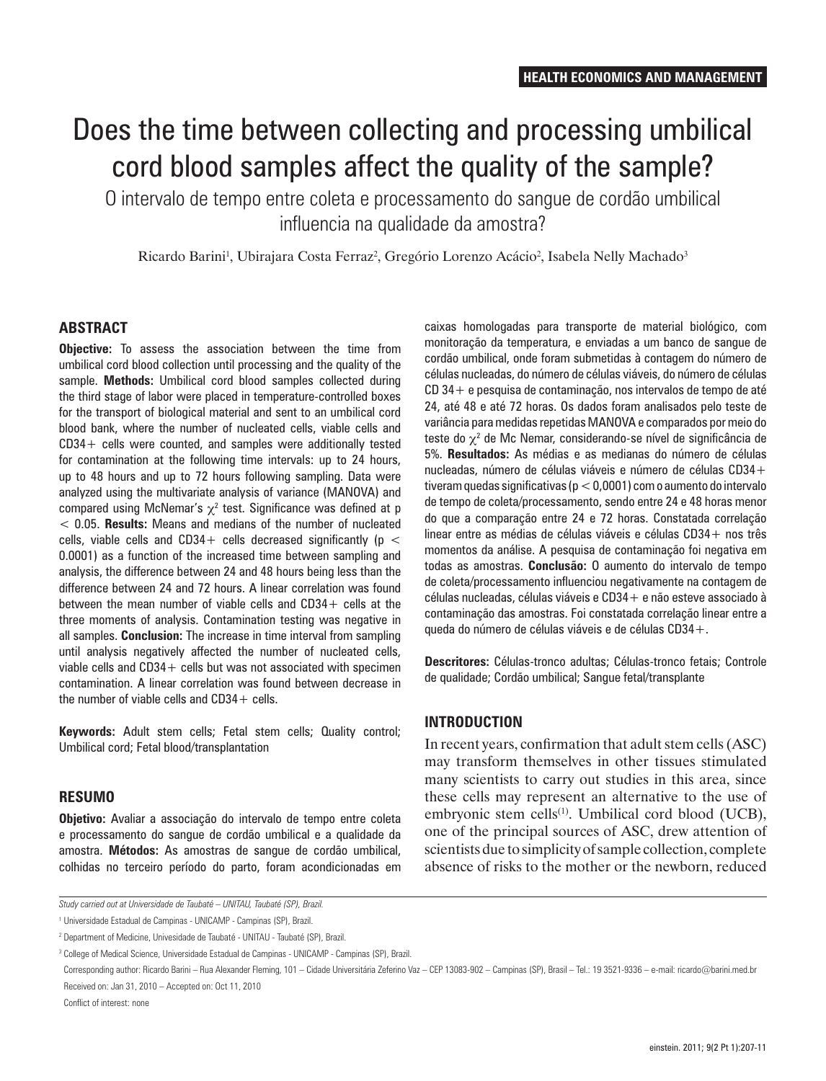# Does the time between collecting and processing umbilical cord blood samples affect the quality of the sample?

O intervalo de tempo entre coleta e processamento do sangue de cordão umbilical influencia na qualidade da amostra?

Ricardo Barini<sup>1</sup>, Ubirajara Costa Ferraz<sup>2</sup>, Gregório Lorenzo Acácio<sup>2</sup>, Isabela Nelly Machado<sup>3</sup>

## **ABSTRACT**

**Objective:** To assess the association between the time from umbilical cord blood collection until processing and the quality of the sample. **Methods:** Umbilical cord blood samples collected during the third stage of labor were placed in temperature-controlled boxes for the transport of biological material and sent to an umbilical cord blood bank, where the number of nucleated cells, viable cells and CD34+ cells were counted, and samples were additionally tested for contamination at the following time intervals: up to 24 hours, up to 48 hours and up to 72 hours following sampling. Data were analyzed using the multivariate analysis of variance (MANOVA) and compared using McNemar's  $\chi^2$  test. Significance was defined at p < 0.05. **Results:** Means and medians of the number of nucleated cells, viable cells and CD34+ cells decreased significantly ( $p <$ 0.0001) as a function of the increased time between sampling and analysis, the difference between 24 and 48 hours being less than the difference between 24 and 72 hours. A linear correlation was found between the mean number of viable cells and CD34+ cells at the three moments of analysis. Contamination testing was negative in all samples. **Conclusion:** The increase in time interval from sampling until analysis negatively affected the number of nucleated cells, viable cells and  $CD34+$  cells but was not associated with specimen contamination. A linear correlation was found between decrease in the number of viable cells and  $CD34 +$  cells.

**Keywords:** Adult stem cells; Fetal stem cells; Quality control; Umbilical cord; Fetal blood/transplantation

#### **RESUMO**

**Objetivo:** Avaliar a associação do intervalo de tempo entre coleta e processamento do sangue de cordão umbilical e a qualidade da amostra. **Métodos:** As amostras de sangue de cordão umbilical, colhidas no terceiro período do parto, foram acondicionadas em

caixas homologadas para transporte de material biológico, com monitoração da temperatura, e enviadas a um banco de sangue de cordão umbilical, onde foram submetidas à contagem do número de células nucleadas, do número de células viáveis, do número de células CD 34+ e pesquisa de contaminação, nos intervalos de tempo de até 24, até 48 e até 72 horas. Os dados foram analisados pelo teste de variância para medidas repetidas MANOVA e comparados por meio do teste do  $\chi^2$  de Mc Nemar, considerando-se nível de significância de 5%. **Resultados:** As médias e as medianas do número de células nucleadas, número de células viáveis e número de células CD34+ tiveram quedas significativas (p < 0,0001) com o aumento do intervalo de tempo de coleta/processamento, sendo entre 24 e 48 horas menor do que a comparação entre 24 e 72 horas. Constatada correlação linear entre as médias de células viáveis e células CD34+ nos três momentos da análise. A pesquisa de contaminação foi negativa em todas as amostras. **Conclusão:** O aumento do intervalo de tempo de coleta/processamento influenciou negativamente na contagem de  $c$ élulas nucleadas, células viáveis e CD34 + e não esteve associado à contaminação das amostras. Foi constatada correlação linear entre a queda do número de células viáveis e de células CD34+.

**Descritores:** Células-tronco adultas; Células-tronco fetais; Controle de qualidade; Cordão umbilical; Sangue fetal/transplante

## **INTRODUCTION**

In recent years, confirmation that adult stem cells (ASC) may transform themselves in other tissues stimulated many scientists to carry out studies in this area, since these cells may represent an alternative to the use of embryonic stem cells<sup>(1)</sup>. Umbilical cord blood (UCB), one of the principal sources of ASC, drew attention of scientists due to simplicity of sample collection, complete absence of risks to the mother or the newborn, reduced

Corresponding author: Ricardo Barini – Rua Alexander Fleming, 101 – Cidade Universitária Zeferino Vaz – CEP 13083-902 – Campinas (SP), Brasil – Tel.: 19 3521-9336 – e-mail: ricardo@barini.med.br Received on: Jan 31, 2010 – Accepted on: Oct 11, 2010

Conflict of interest: none

*Study carried out at Universidade de Taubaté – UNITAU, Taubaté (SP), Brazil.*

<sup>1</sup> Universidade Estadual de Campinas - UNICAMP - Campinas (SP), Brazil.

<sup>&</sup>lt;sup>2</sup> Department of Medicine, Univesidade de Taubaté - UNITAU - Taubaté (SP), Brazil.

<sup>&</sup>lt;sup>3</sup> College of Medical Science, Universidade Estadual de Campinas - UNICAMP - Campinas (SP), Brazil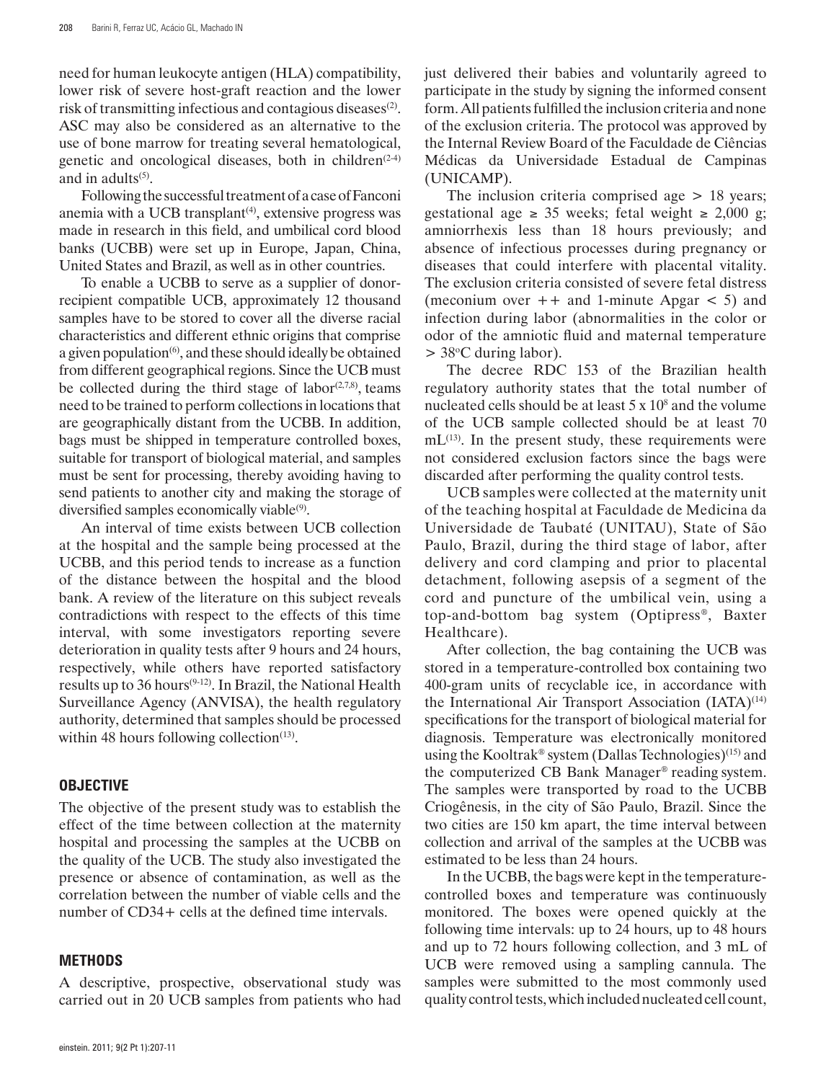need for human leukocyte antigen (HLA) compatibility, lower risk of severe host-graft reaction and the lower risk of transmitting infectious and contagious diseases<sup>(2)</sup>. ASC may also be considered as an alternative to the use of bone marrow for treating several hematological, genetic and oncological diseases, both in children<sup> $(2-4)$ </sup> and in adults $(5)$ .

Following the successful treatment of a case of Fanconi anemia with a UCB transplant $(4)$ , extensive progress was made in research in this field, and umbilical cord blood banks (UCBB) were set up in Europe, Japan, China, United States and Brazil, as well as in other countries.

To enable a UCBB to serve as a supplier of donorrecipient compatible UCB, approximately 12 thousand samples have to be stored to cover all the diverse racial characteristics and different ethnic origins that comprise a given population $(6)$ , and these should ideally be obtained from different geographical regions. Since the UCB must be collected during the third stage of labor $(2,7,8)$ , teams need to be trained to perform collections in locations that are geographically distant from the UCBB. In addition, bags must be shipped in temperature controlled boxes, suitable for transport of biological material, and samples must be sent for processing, thereby avoiding having to send patients to another city and making the storage of diversified samples economically viable<sup>(9)</sup>.

An interval of time exists between UCB collection at the hospital and the sample being processed at the UCBB, and this period tends to increase as a function of the distance between the hospital and the blood bank. A review of the literature on this subject reveals contradictions with respect to the effects of this time interval, with some investigators reporting severe deterioration in quality tests after 9 hours and 24 hours, respectively, while others have reported satisfactory results up to 36 hours<sup> $(9-12)$ </sup>. In Brazil, the National Health Surveillance Agency (ANVISA), the health regulatory authority, determined that samples should be processed within 48 hours following collection<sup> $(13)$ </sup>.

## **OBJECTIVE**

The objective of the present study was to establish the effect of the time between collection at the maternity hospital and processing the samples at the UCBB on the quality of the UCB. The study also investigated the presence or absence of contamination, as well as the correlation between the number of viable cells and the number of CD34+ cells at the defined time intervals.

#### **METHODS**

A descriptive, prospective, observational study was carried out in 20 UCB samples from patients who had just delivered their babies and voluntarily agreed to participate in the study by signing the informed consent form. All patients fulfilled the inclusion criteria and none of the exclusion criteria. The protocol was approved by the Internal Review Board of the Faculdade de Ciências Médicas da Universidade Estadual de Campinas (UNICAMP).

The inclusion criteria comprised age  $> 18$  years; gestational age  $\geq$  35 weeks; fetal weight  $\geq$  2,000 g; amniorrhexis less than 18 hours previously; and absence of infectious processes during pregnancy or diseases that could interfere with placental vitality. The exclusion criteria consisted of severe fetal distress (meconium over  $++$  and 1-minute Apgar  $\lt$  5) and infection during labor (abnormalities in the color or odor of the amniotic fluid and maternal temperature  $>$  38°C during labor).

The decree RDC 153 of the Brazilian health regulatory authority states that the total number of nucleated cells should be at least  $5 \times 10^8$  and the volume of the UCB sample collected should be at least 70  $mL^{(13)}$ . In the present study, these requirements were not considered exclusion factors since the bags were discarded after performing the quality control tests.

UCB samples were collected at the maternity unit of the teaching hospital at Faculdade de Medicina da Universidade de Taubaté (UNITAU), State of São Paulo, Brazil, during the third stage of labor, after delivery and cord clamping and prior to placental detachment, following asepsis of a segment of the cord and puncture of the umbilical vein, using a top-and-bottom bag system (Optipress®, Baxter Healthcare).

After collection, the bag containing the UCB was stored in a temperature-controlled box containing two 400-gram units of recyclable ice, in accordance with the International Air Transport Association  $(IATA)^{(14)}$ specifications for the transport of biological material for diagnosis. Temperature was electronically monitored using the Kooltrak® system (Dallas Technologies)<sup>(15)</sup> and the computerized CB Bank Manager® reading system. The samples were transported by road to the UCBB Criogênesis, in the city of São Paulo, Brazil. Since the two cities are 150 km apart, the time interval between collection and arrival of the samples at the UCBB was estimated to be less than 24 hours.

In the UCBB, the bags were kept in the temperaturecontrolled boxes and temperature was continuously monitored. The boxes were opened quickly at the following time intervals: up to 24 hours, up to 48 hours and up to 72 hours following collection, and 3 mL of UCB were removed using a sampling cannula. The samples were submitted to the most commonly used quality control tests, which included nucleated cell count,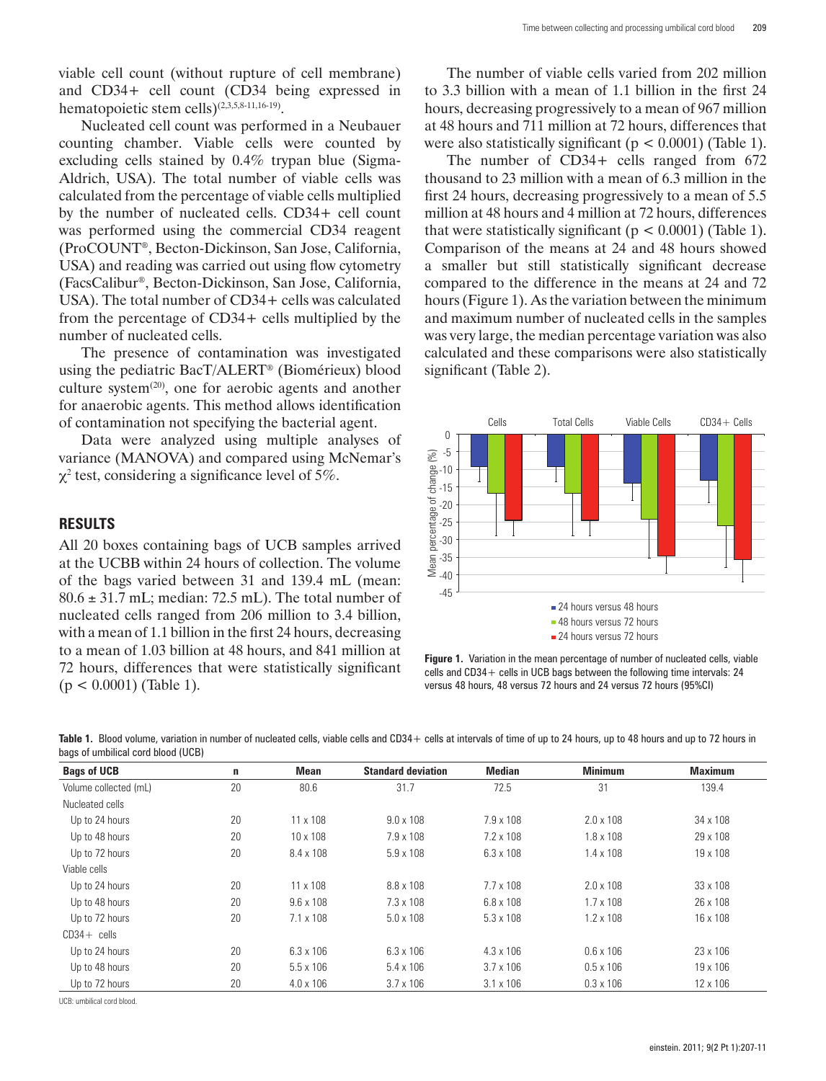viable cell count (without rupture of cell membrane) and CD34+ cell count (CD34 being expressed in hematopoietic stem cells)(2,3,5,8-11,16-19).

Nucleated cell count was performed in a Neubauer counting chamber. Viable cells were counted by excluding cells stained by 0.4% trypan blue (Sigma-Aldrich, USA). The total number of viable cells was calculated from the percentage of viable cells multiplied by the number of nucleated cells. CD34+ cell count was performed using the commercial CD34 reagent (ProCOUNT®, Becton-Dickinson, San Jose, California, USA) and reading was carried out using flow cytometry (FacsCalibur®, Becton-Dickinson, San Jose, California, USA). The total number of CD34+ cells was calculated from the percentage of CD34+ cells multiplied by the number of nucleated cells.

The presence of contamination was investigated using the pediatric BacT/ALERT® (Biomérieux) blood culture system<sup>(20)</sup>, one for aerobic agents and another for anaerobic agents. This method allows identification of contamination not specifying the bacterial agent.

Data were analyzed using multiple analyses of variance (MANOVA) and compared using McNemar's  $\chi^2$  test, considering a significance level of 5%.

### **RESULTS**

All 20 boxes containing bags of UCB samples arrived at the UCBB within 24 hours of collection. The volume of the bags varied between 31 and 139.4 mL (mean:  $80.6 \pm 31.7$  mL; median: 72.5 mL). The total number of nucleated cells ranged from 206 million to 3.4 billion, with a mean of 1.1 billion in the first 24 hours, decreasing to a mean of 1.03 billion at 48 hours, and 841 million at 72 hours, differences that were statistically significant  $(p < 0.0001)$  (Table 1).

The number of viable cells varied from 202 million to 3.3 billion with a mean of 1.1 billion in the first 24 hours, decreasing progressively to a mean of 967 million at 48 hours and 711 million at 72 hours, differences that were also statistically significant ( $p < 0.0001$ ) (Table 1).

The number of CD34+ cells ranged from 672 thousand to 23 million with a mean of 6.3 million in the first 24 hours, decreasing progressively to a mean of 5.5 million at 48 hours and 4 million at 72 hours, differences that were statistically significant ( $p < 0.0001$ ) (Table 1). Comparison of the means at 24 and 48 hours showed a smaller but still statistically significant decrease compared to the difference in the means at 24 and 72 hours (Figure 1). As the variation between the minimum and maximum number of nucleated cells in the samples was very large, the median percentage variation was also calculated and these comparisons were also statistically significant (Table 2).



**Figure 1.** Variation in the mean percentage of number of nucleated cells, viable cells and CD34+ cells in UCB bags between the following time intervals: 24 versus 48 hours, 48 versus 72 hours and 24 versus 72 hours (95%CI)

Table 1. Blood volume, variation in number of nucleated cells, viable cells and CD34 + cells at intervals of time of up to 24 hours, up to 48 hours and up to 72 hours in bags of umbilical cord blood (UCB)

| <b>Bags of UCB</b>    | $\mathbf n$ | Mean             | <b>Standard deviation</b> | <b>Median</b>    | <b>Minimum</b>   | <b>Maximum</b> |
|-----------------------|-------------|------------------|---------------------------|------------------|------------------|----------------|
| Volume collected (mL) | 20          | 80.6             | 31.7                      | 72.5             | 31               | 139.4          |
| Nucleated cells       |             |                  |                           |                  |                  |                |
| Up to 24 hours        | 20          | $11 \times 108$  | $9.0 \times 108$          | $7.9 \times 108$ | $2.0 \times 108$ | 34 x 108       |
| Up to 48 hours        | 20          | $10 \times 108$  | $7.9 \times 108$          | $7.2 \times 108$ | $1.8 \times 108$ | 29 x 108       |
| Up to 72 hours        | 20          | 8.4 x 108        | $5.9 \times 108$          | $6.3 \times 108$ | $1.4 \times 108$ | 19 x 108       |
| Viable cells          |             |                  |                           |                  |                  |                |
| Up to 24 hours        | 20          | $11 \times 108$  | 8.8 x 108                 | $7.7 \times 108$ | $2.0 \times 108$ | 33 x 108       |
| Up to 48 hours        | 20          | $9.6 \times 108$ | $7.3 \times 108$          | $6.8 \times 108$ | $1.7 \times 108$ | 26 x 108       |
| Up to 72 hours        | 20          | $7.1 \times 108$ | $5.0 \times 108$          | $5.3 \times 108$ | $1.2 \times 108$ | 16 x 108       |
| $CD34 +$ cells        |             |                  |                           |                  |                  |                |
| Up to 24 hours        | 20          | $6.3 \times 106$ | $6.3 \times 106$          | $4.3 \times 106$ | $0.6 \times 106$ | 23 x 106       |
| Up to 48 hours        | 20          | $5.5 \times 106$ | $5.4 \times 106$          | $3.7 \times 106$ | $0.5 \times 106$ | 19 x 106       |
| Up to 72 hours        | 20          | $4.0 \times 106$ | $3.7 \times 106$          | $3.1 \times 106$ | $0.3 \times 106$ | 12 x 106       |

UCB: umbilical cord blood.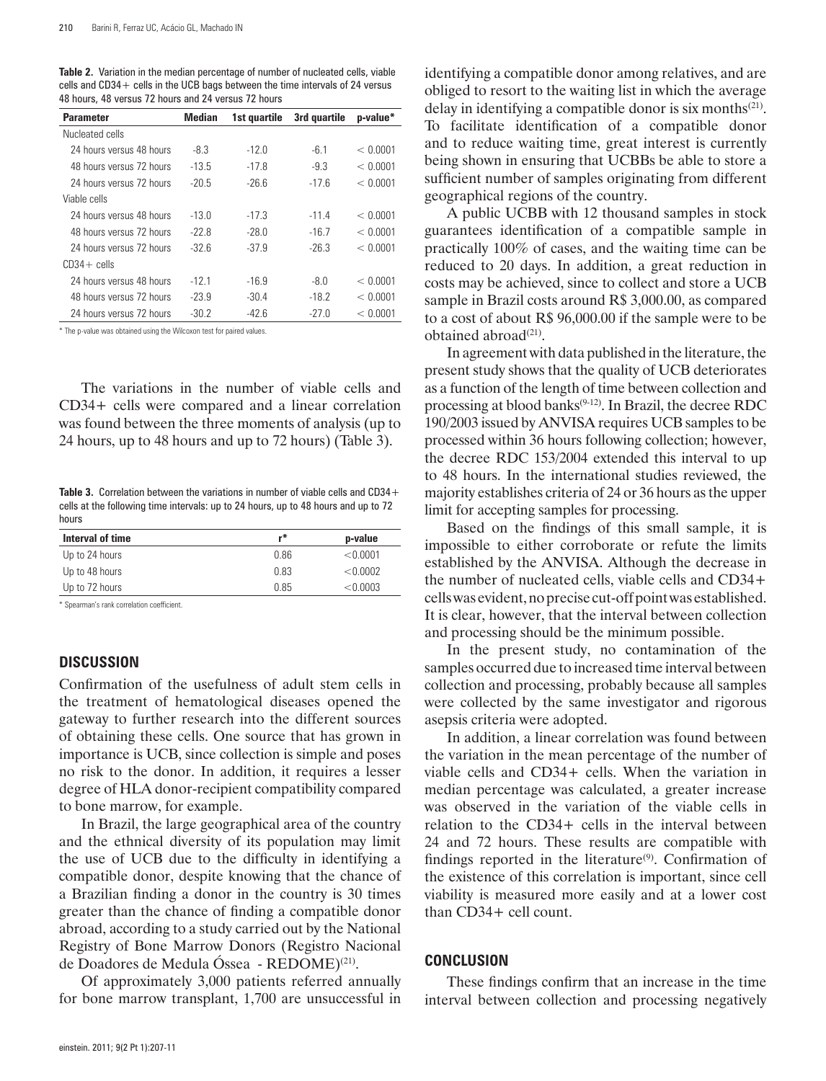**Table 2.** Variation in the median percentage of number of nucleated cells, viable cells and  $CD34 +$  cells in the UCB bags between the time intervals of 24 versus 48 hours, 48 versus 72 hours and 24 versus 72 hours

| <b>Parameter</b>         | Median  | 1st quartile | 3rd quartile | p-value* |
|--------------------------|---------|--------------|--------------|----------|
| Nucleated cells          |         |              |              |          |
| 24 hours versus 48 hours | -8.3    | $-120$       | -61          | < 0.0001 |
| 48 hours versus 72 hours | $-13.5$ | $-17.8$      | $-9.3$       | < 0.0001 |
| 24 hours versus 72 hours | $-20.5$ | $-26.6$      | $-17.6$      | < 0.0001 |
| Viable cells             |         |              |              |          |
| 24 hours versus 48 hours | -13 0   | $-17.3$      | $-11.4$      | < 0.0001 |
| 48 hours versus 72 hours | $-228$  | $-280$       | $-16.7$      | < 0.0001 |
| 24 hours versus 72 hours | $-326$  | $-37.9$      | $-26.3$      | < 0.0001 |
| $CD34 +$ cells           |         |              |              |          |
| 24 hours versus 48 hours | $-121$  | $-16.9$      | $-8.0$       | < 0.0001 |
| 48 hours versus 72 hours | $-23.9$ | $-30.4$      | $-18.2$      | < 0.0001 |
| 24 hours versus 72 hours | $-30.2$ | $-42.6$      | -27 0        | < 0.0001 |

\* The p-value was obtained using the Wilcoxon test for paired values.

The variations in the number of viable cells and CD34+ cells were compared and a linear correlation was found between the three moments of analysis (up to 24 hours, up to 48 hours and up to 72 hours) (Table 3).

Table 3. Correlation between the variations in number of viable cells and CD34+ cells at the following time intervals: up to 24 hours, up to 48 hours and up to 72 hours

| Interval of time | r*   | p-value  |
|------------------|------|----------|
| Up to 24 hours   | 0.86 | < 0.0001 |
| Up to 48 hours   | 0.83 | < 0.0002 |
| Up to 72 hours   | 0.85 | < 0.0003 |
|                  |      |          |

\* Spearman's rank correlation coefficient.

#### **DISCUSSION**

Confirmation of the usefulness of adult stem cells in the treatment of hematological diseases opened the gateway to further research into the different sources of obtaining these cells. One source that has grown in importance is UCB, since collection is simple and poses no risk to the donor. In addition, it requires a lesser degree of HLA donor-recipient compatibility compared to bone marrow, for example.

In Brazil, the large geographical area of the country and the ethnical diversity of its population may limit the use of UCB due to the difficulty in identifying a compatible donor, despite knowing that the chance of a Brazilian finding a donor in the country is 30 times greater than the chance of finding a compatible donor abroad, according to a study carried out by the National Registry of Bone Marrow Donors (Registro Nacional de Doadores de Medula Óssea - REDOME)(21).

Of approximately 3,000 patients referred annually for bone marrow transplant, 1,700 are unsuccessful in

identifying a compatible donor among relatives, and are obliged to resort to the waiting list in which the average delay in identifying a compatible donor is six months<sup> $(21)$ </sup>. To facilitate identification of a compatible donor and to reduce waiting time, great interest is currently being shown in ensuring that UCBBs be able to store a sufficient number of samples originating from different geographical regions of the country.

A public UCBB with 12 thousand samples in stock guarantees identification of a compatible sample in practically 100% of cases, and the waiting time can be reduced to 20 days. In addition, a great reduction in costs may be achieved, since to collect and store a UCB sample in Brazil costs around R\$ 3,000.00, as compared to a cost of about R\$ 96,000.00 if the sample were to be obtained abroad<sup>(21)</sup>.

In agreement with data published in the literature, the present study shows that the quality of UCB deteriorates as a function of the length of time between collection and processing at blood banks(9-12). In Brazil, the decree RDC 190/2003 issued by ANVISA requires UCB samples to be processed within 36 hours following collection; however, the decree RDC 153/2004 extended this interval to up to 48 hours. In the international studies reviewed, the majority establishes criteria of 24 or 36 hours as the upper limit for accepting samples for processing.

Based on the findings of this small sample, it is impossible to either corroborate or refute the limits established by the ANVISA. Although the decrease in the number of nucleated cells, viable cells and CD34+ cells was evident, no precise cut-off point was established. It is clear, however, that the interval between collection and processing should be the minimum possible.

In the present study, no contamination of the samples occurred due to increased time interval between collection and processing, probably because all samples were collected by the same investigator and rigorous asepsis criteria were adopted.

In addition, a linear correlation was found between the variation in the mean percentage of the number of viable cells and CD34+ cells. When the variation in median percentage was calculated, a greater increase was observed in the variation of the viable cells in relation to the CD34+ cells in the interval between 24 and 72 hours. These results are compatible with findings reported in the literature $(9)$ . Confirmation of the existence of this correlation is important, since cell viability is measured more easily and at a lower cost than CD34+ cell count.

#### **Conclusion**

These findings confirm that an increase in the time interval between collection and processing negatively